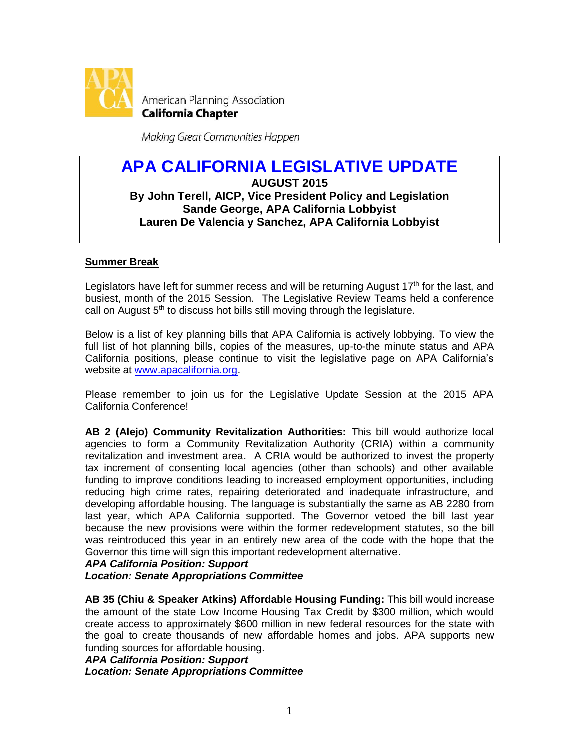

Making Great Communities Happen

# **APA CALIFORNIA LEGISLATIVE UPDATE AUGUST 2015 By John Terell, AICP, Vice President Policy and Legislation Sande George, APA California Lobbyist Lauren De Valencia y Sanchez, APA California Lobbyist**

# **Summer Break**

Legislators have left for summer recess and will be returning August  $17<sup>th</sup>$  for the last, and busiest, month of the 2015 Session. The Legislative Review Teams held a conference call on August  $5<sup>th</sup>$  to discuss hot bills still moving through the legislature.

Below is a list of key planning bills that APA California is actively lobbying. To view the full list of hot planning bills, copies of the measures, up-to-the minute status and APA California positions, please continue to visit the legislative page on APA California's website at www.apacalifornia.org.

Please remember to join us for the Legislative Update Session at the 2015 APA California Conference!

**AB 2 (Alejo) Community Revitalization Authorities:** This bill would authorize local agencies to form a Community Revitalization Authority (CRIA) within a community revitalization and investment area. A CRIA would be authorized to invest the property tax increment of consenting local agencies (other than schools) and other available funding to improve conditions leading to increased employment opportunities, including reducing high crime rates, repairing deteriorated and inadequate infrastructure, and developing affordable housing. The language is substantially the same as AB 2280 from last year, which APA California supported. The Governor vetoed the bill last year because the new provisions were within the former redevelopment statutes, so the bill was reintroduced this year in an entirely new area of the code with the hope that the Governor this time will sign this important redevelopment alternative.

*APA California Position: Support Location: Senate Appropriations Committee* 

**AB 35 (Chiu & Speaker Atkins) Affordable Housing Funding:** This bill would increase the amount of the state Low Income Housing Tax Credit by \$300 million, which would create access to approximately \$600 million in new federal resources for the state with the goal to create thousands of new affordable homes and jobs. APA supports new funding sources for affordable housing.

*APA California Position: Support Location: Senate Appropriations Committee*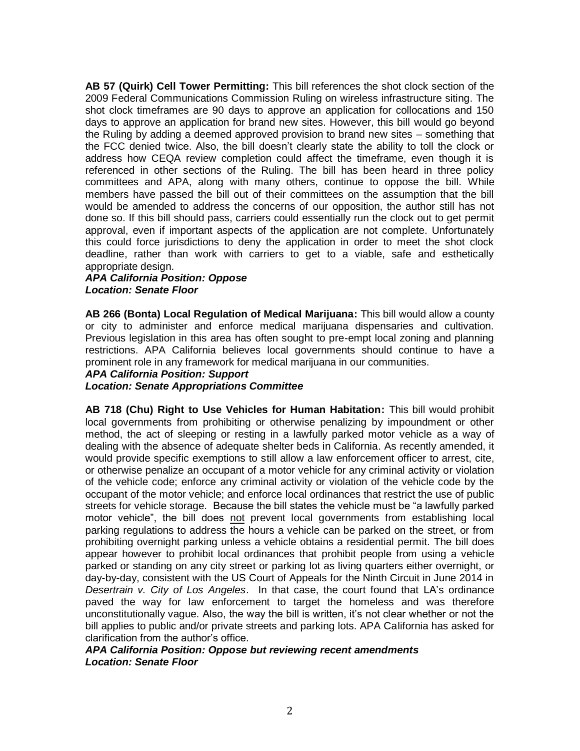**AB 57 (Quirk) Cell Tower Permitting:** This bill references the shot clock section of the 2009 Federal Communications Commission Ruling on wireless infrastructure siting. The shot clock timeframes are 90 days to approve an application for collocations and 150 days to approve an application for brand new sites. However, this bill would go beyond the Ruling by adding a deemed approved provision to brand new sites – something that the FCC denied twice. Also, the bill doesn't clearly state the ability to toll the clock or address how CEQA review completion could affect the timeframe, even though it is referenced in other sections of the Ruling. The bill has been heard in three policy committees and APA, along with many others, continue to oppose the bill. While members have passed the bill out of their committees on the assumption that the bill would be amended to address the concerns of our opposition, the author still has not done so. If this bill should pass, carriers could essentially run the clock out to get permit approval, even if important aspects of the application are not complete. Unfortunately this could force jurisdictions to deny the application in order to meet the shot clock deadline, rather than work with carriers to get to a viable, safe and esthetically appropriate design.

# *APA California Position: Oppose Location: Senate Floor*

**AB 266 (Bonta) Local Regulation of Medical Marijuana:** This bill would allow a county or city to administer and enforce medical marijuana dispensaries and cultivation. Previous legislation in this area has often sought to pre-empt local zoning and planning restrictions. APA California believes local governments should continue to have a prominent role in any framework for medical marijuana in our communities.

#### *APA California Position: Support*

# *Location: Senate Appropriations Committee*

**AB 718 (Chu) Right to Use Vehicles for Human Habitation:** This bill would prohibit local governments from prohibiting or otherwise penalizing by impoundment or other method, the act of sleeping or resting in a lawfully parked motor vehicle as a way of dealing with the absence of adequate shelter beds in California. As recently amended, it would provide specific exemptions to still allow a law enforcement officer to arrest, cite, or otherwise penalize an occupant of a motor vehicle for any criminal activity or violation of the vehicle code; enforce any criminal activity or violation of the vehicle code by the occupant of the motor vehicle; and enforce local ordinances that restrict the use of public streets for vehicle storage. Because the bill states the vehicle must be "a lawfully parked motor vehicle", the bill does not prevent local governments from establishing local parking regulations to address the hours a vehicle can be parked on the street, or from prohibiting overnight parking unless a vehicle obtains a residential permit. The bill does appear however to prohibit local ordinances that prohibit people from using a vehicle parked or standing on any city street or parking lot as living quarters either overnight, or day-by-day, consistent with the US Court of Appeals for the Ninth Circuit in June 2014 in *Desertrain v. City of Los Angeles*. In that case, the court found that LA's ordinance paved the way for law enforcement to target the homeless and was therefore unconstitutionally vague. Also, the way the bill is written, it's not clear whether or not the bill applies to public and/or private streets and parking lots. APA California has asked for clarification from the author's office.

*APA California Position: Oppose but reviewing recent amendments Location: Senate Floor*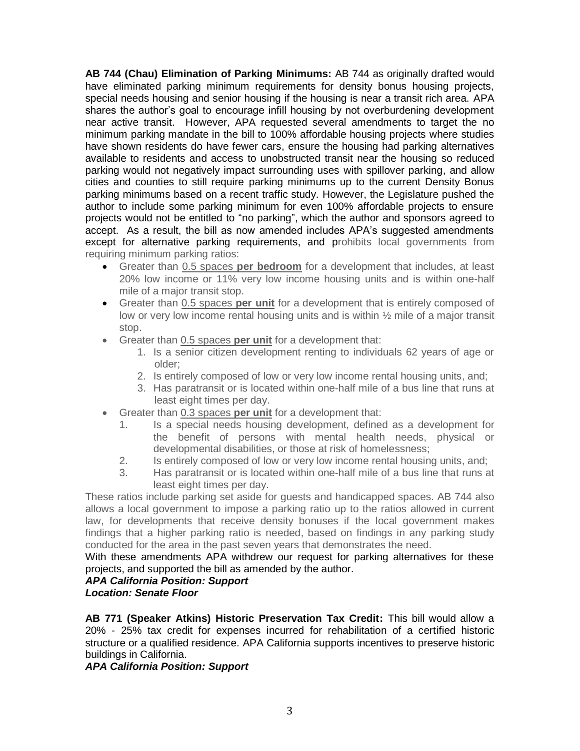**AB 744 (Chau) Elimination of Parking Minimums:** AB 744 as originally drafted would have eliminated parking minimum requirements for density bonus housing projects, special needs housing and senior housing if the housing is near a transit rich area. APA shares the author's goal to encourage infill housing by not overburdening development near active transit. However, APA requested several amendments to target the no minimum parking mandate in the bill to 100% affordable housing projects where studies have shown residents do have fewer cars, ensure the housing had parking alternatives available to residents and access to unobstructed transit near the housing so reduced parking would not negatively impact surrounding uses with spillover parking, and allow cities and counties to still require parking minimums up to the current Density Bonus parking minimums based on a recent traffic study. However, the Legislature pushed the author to include some parking minimum for even 100% affordable projects to ensure projects would not be entitled to "no parking", which the author and sponsors agreed to accept. As a result, the bill as now amended includes APA's suggested amendments except for alternative parking requirements, and prohibits local governments from requiring minimum parking ratios:

- Greater than 0.5 spaces **per bedroom** for a development that includes, at least 20% low income or 11% very low income housing units and is within one-half mile of a major transit stop.
- Greater than 0.5 spaces **per unit** for a development that is entirely composed of low or very low income rental housing units and is within ½ mile of a major transit stop.
- Greater than 0.5 spaces **per unit** for a development that:
	- 1. Is a senior citizen development renting to individuals 62 years of age or older;
	- 2. Is entirely composed of low or very low income rental housing units, and;
	- 3. Has paratransit or is located within one-half mile of a bus line that runs at least eight times per day.
- Greater than 0.3 spaces **per unit** for a development that:
	- 1. Is a special needs housing development, defined as a development for the benefit of persons with mental health needs, physical or developmental disabilities, or those at risk of homelessness;
	- 2. Is entirely composed of low or very low income rental housing units, and;
	- 3. Has paratransit or is located within one-half mile of a bus line that runs at least eight times per day.

These ratios include parking set aside for guests and handicapped spaces. AB 744 also allows a local government to impose a parking ratio up to the ratios allowed in current law, for developments that receive density bonuses if the local government makes findings that a higher parking ratio is needed, based on findings in any parking study conducted for the area in the past seven years that demonstrates the need.

With these amendments APA withdrew our request for parking alternatives for these projects, and supported the bill as amended by the author.

#### *APA California Position: Support Location: Senate Floor*

**AB 771 (Speaker Atkins) Historic Preservation Tax Credit:** This bill would allow a 20% - 25% tax credit for expenses incurred for rehabilitation of a certified historic structure or a qualified residence. APA California supports incentives to preserve historic buildings in California.

# *APA California Position: Support*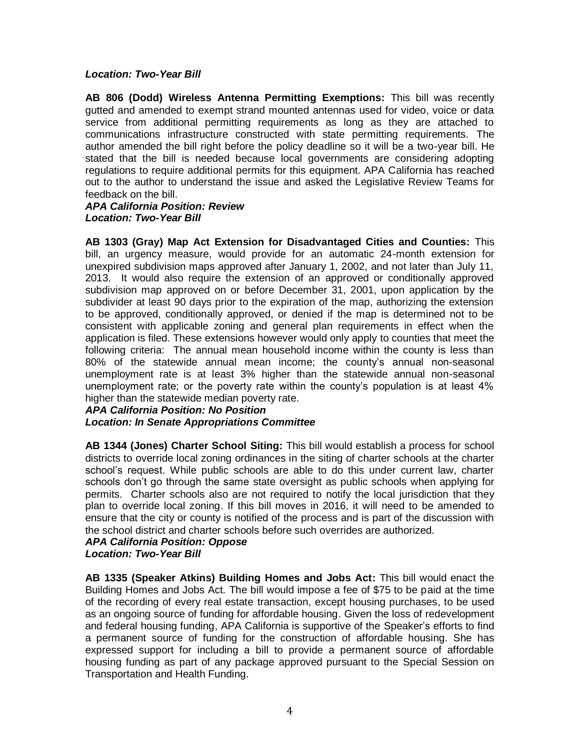#### *Location: Two-Year Bill*

**AB 806 (Dodd) Wireless Antenna Permitting Exemptions:** This bill was recently gutted and amended to exempt strand mounted antennas used for video, voice or data service from additional permitting requirements as long as they are attached to communications infrastructure constructed with state permitting requirements. The author amended the bill right before the policy deadline so it will be a two-year bill. He stated that the bill is needed because local governments are considering adopting regulations to require additional permits for this equipment. APA California has reached out to the author to understand the issue and asked the Legislative Review Teams for feedback on the bill.

#### *APA California Position: Review Location: Two-Year Bill*

**AB 1303 (Gray) Map Act Extension for Disadvantaged Cities and Counties:** This bill, an urgency measure, would provide for an automatic 24-month extension for unexpired subdivision maps approved after January 1, 2002, and not later than July 11, 2013. It would also require the extension of an approved or conditionally approved subdivision map approved on or before December 31, 2001, upon application by the subdivider at least 90 days prior to the expiration of the map, authorizing the extension to be approved, conditionally approved, or denied if the map is determined not to be consistent with applicable zoning and general plan requirements in effect when the application is filed. These extensions however would only apply to counties that meet the following criteria: The annual mean household income within the county is less than 80% of the statewide annual mean income; the county's annual non-seasonal unemployment rate is at least 3% higher than the statewide annual non-seasonal unemployment rate; or the poverty rate within the county's population is at least 4% higher than the statewide median poverty rate.

#### *APA California Position: No Position*

# *Location: In Senate Appropriations Committee*

**AB 1344 (Jones) Charter School Siting:** This bill would establish a process for school districts to override local zoning ordinances in the siting of charter schools at the charter school's request. While public schools are able to do this under current law, charter schools don't go through the same state oversight as public schools when applying for permits. Charter schools also are not required to notify the local jurisdiction that they plan to override local zoning. If this bill moves in 2016, it will need to be amended to ensure that the city or county is notified of the process and is part of the discussion with the school district and charter schools before such overrides are authorized.

#### *APA California Position: Oppose Location: Two-Year Bill*

**AB 1335 (Speaker Atkins) Building Homes and Jobs Act:** This bill would enact the Building Homes and Jobs Act. The bill would impose a fee of \$75 to be paid at the time of the recording of every real estate transaction, except housing purchases, to be used as an ongoing source of funding for affordable housing. Given the loss of redevelopment and federal housing funding, APA California is supportive of the Speaker's efforts to find a permanent source of funding for the construction of affordable housing. She has expressed support for including a bill to provide a permanent source of affordable housing funding as part of any package approved pursuant to the Special Session on Transportation and Health Funding.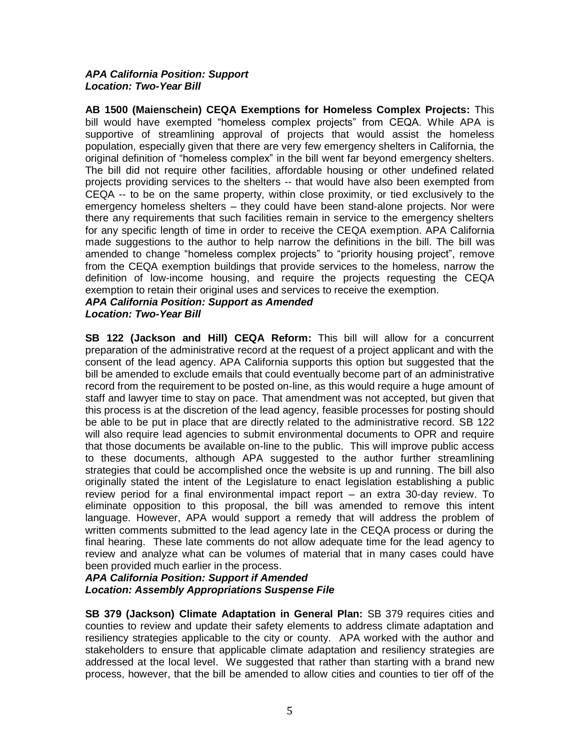#### *APA California Position: Support Location: Two-Year Bill*

**AB 1500 (Maienschein) CEQA Exemptions for Homeless Complex Projects:** This bill would have exempted "homeless complex projects" from CEQA. While APA is supportive of streamlining approval of projects that would assist the homeless population, especially given that there are very few emergency shelters in California, the original definition of "homeless complex" in the bill went far beyond emergency shelters. The bill did not require other facilities, affordable housing or other undefined related projects providing services to the shelters -- that would have also been exempted from CEQA -- to be on the same property, within close proximity, or tied exclusively to the emergency homeless shelters – they could have been stand-alone projects. Nor were there any requirements that such facilities remain in service to the emergency shelters for any specific length of time in order to receive the CEQA exemption. APA California made suggestions to the author to help narrow the definitions in the bill. The bill was amended to change "homeless complex projects" to "priority housing project", remove from the CEQA exemption buildings that provide services to the homeless, narrow the definition of low-income housing, and require the projects requesting the CEQA exemption to retain their original uses and services to receive the exemption.

### *APA California Position: Support as Amended Location: Two-Year Bill*

**SB 122 (Jackson and Hill) CEQA Reform:** This bill will allow for a concurrent preparation of the administrative record at the request of a project applicant and with the consent of the lead agency. APA California supports this option but suggested that the bill be amended to exclude emails that could eventually become part of an administrative record from the requirement to be posted on-line, as this would require a huge amount of staff and lawyer time to stay on pace. That amendment was not accepted, but given that this process is at the discretion of the lead agency, feasible processes for posting should be able to be put in place that are directly related to the administrative record. SB 122 will also require lead agencies to submit environmental documents to OPR and require that those documents be available on-line to the public. This will improve public access to these documents, although APA suggested to the author further streamlining strategies that could be accomplished once the website is up and running. The bill also originally stated the intent of the Legislature to enact legislation establishing a public review period for a final environmental impact report – an extra 30-day review. To eliminate opposition to this proposal, the bill was amended to remove this intent language. However, APA would support a remedy that will address the problem of written comments submitted to the lead agency late in the CEQA process or during the final hearing. These late comments do not allow adequate time for the lead agency to review and analyze what can be volumes of material that in many cases could have been provided much earlier in the process.

# *APA California Position: Support if Amended Location: Assembly Appropriations Suspense File*

**SB 379 (Jackson) Climate Adaptation in General Plan:** SB 379 requires cities and counties to review and update their safety elements to address climate adaptation and resiliency strategies applicable to the city or county. APA worked with the author and stakeholders to ensure that applicable climate adaptation and resiliency strategies are addressed at the local level. We suggested that rather than starting with a brand new process, however, that the bill be amended to allow cities and counties to tier off of the